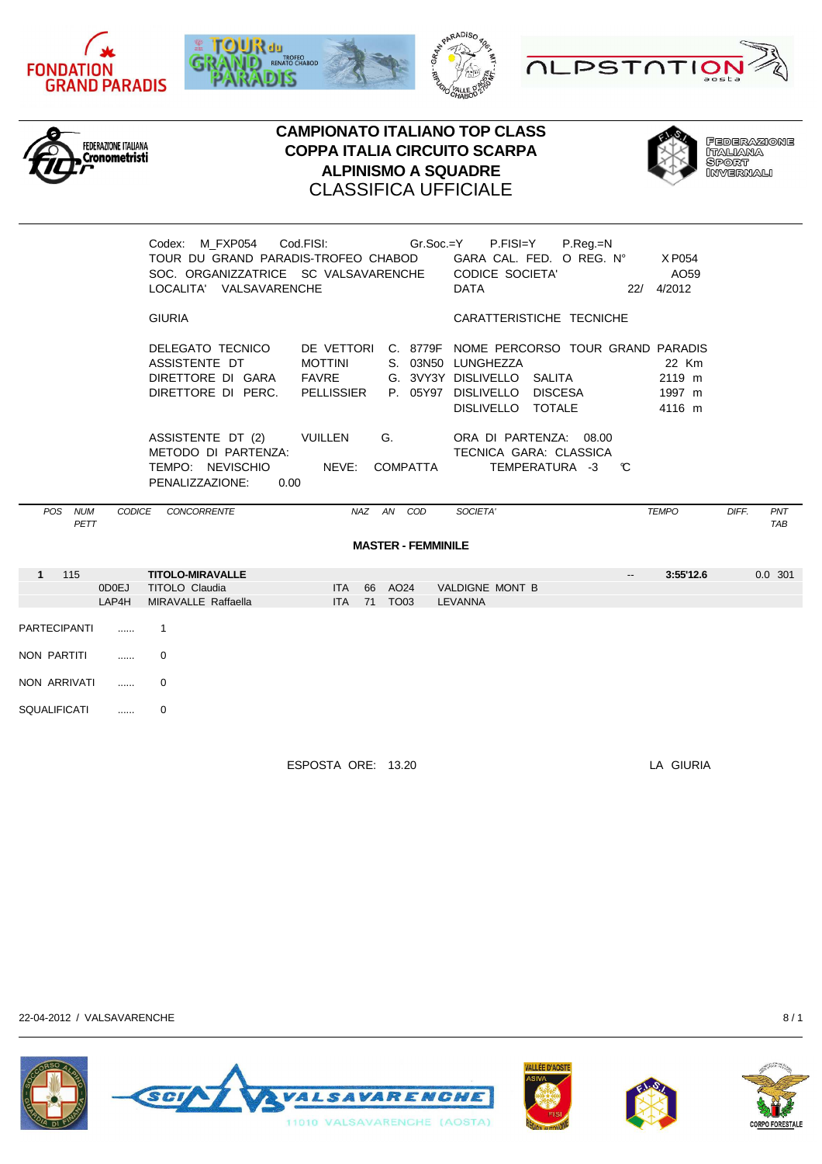











**FEDERAZIONE** leberxxar<br>Italiana<br>Sport<br>Invernali

|                     |                | Codex: M FXP054 Cod.FISI: Gr.Soc.=Y<br>TOUR DU GRAND PARADIS-TROFEO CHABOD<br>SOC. ORGANIZZATRICE SC VALSAVARENCHE<br>LOCALITA' VALSAVARENCHE |                                                                        |                           | P.FISI=Y<br>GARA CAL. FED. O REG. Nº<br><b>CODICE SOCIETA'</b><br><b>DATA</b>                        | P.Reg.=N | X P054<br>AO59<br>22/ 4/2012        |                            |
|---------------------|----------------|-----------------------------------------------------------------------------------------------------------------------------------------------|------------------------------------------------------------------------|---------------------------|------------------------------------------------------------------------------------------------------|----------|-------------------------------------|----------------------------|
|                     |                | <b>GIURIA</b>                                                                                                                                 |                                                                        |                           | CARATTERISTICHE TECNICHE                                                                             |          |                                     |                            |
|                     |                | DELEGATO TECNICO<br>ASSISTENTE DT<br>DIRETTORE DI GARA FAVRE<br>DIRETTORE DI PERC. PELLISSIER                                                 | DE VETTORI C. 8779F NOME PERCORSO TOUR GRAND PARADIS<br><b>MOTTINI</b> |                           | S. 03N50 LUNGHEZZA<br>G. 3VY3Y DISLIVELLO SALITA<br>P. 05Y97 DISLIVELLO DISCESA<br>DISLIVELLO TOTALE |          | 22 Km<br>2119 m<br>1997 m<br>4116 m |                            |
|                     |                | ASSISTENTE DT (2) VUILLEN<br>METODO DI PARTENZA:<br>TEMPO: NEVISCHIO<br>PENALIZZAZIONE:<br>0.00                                               | G.<br>NEVE:                                                            | COMPATTA                  | ORA DI PARTENZA: 08.00<br>TECNICA GARA: CLASSICA<br>TEMPERATURA -3                                   | C        |                                     |                            |
| POS NUM<br>PETT     |                | CODICE CONCORRENTE                                                                                                                            | NAZ AN COD                                                             |                           | SOCIETA'                                                                                             |          | <b>TEMPO</b>                        | DIFF.<br>PNT<br><b>TAB</b> |
|                     |                |                                                                                                                                               |                                                                        | <b>MASTER - FEMMINILE</b> |                                                                                                      |          |                                     |                            |
| 115<br>1            | 0D0EJ<br>LAP4H | <b>TITOLO-MIRAVALLE</b><br>TITOLO Claudia<br>MIRAVALLE Raffaella                                                                              | 66 AO24<br><b>ITA</b><br>71<br>TO03<br><b>ITA</b>                      |                           | VALDIGNE MONT B<br><b>LEVANNA</b>                                                                    |          | 3:55'12.6                           | $0.0$ 301                  |
| <b>PARTECIPANTI</b> | $\cdots$       | -1                                                                                                                                            |                                                                        |                           |                                                                                                      |          |                                     |                            |
| NON PARTITI         | .              | 0                                                                                                                                             |                                                                        |                           |                                                                                                      |          |                                     |                            |
| NON ARRIVATI        | .              | $\Omega$                                                                                                                                      |                                                                        |                           |                                                                                                      |          |                                     |                            |

ESPOSTA ORE: 13.20 LA GIURIA

22-04-2012 / VALSAVARENCHE 8 / 1

SQUALIFICATI ...... 0







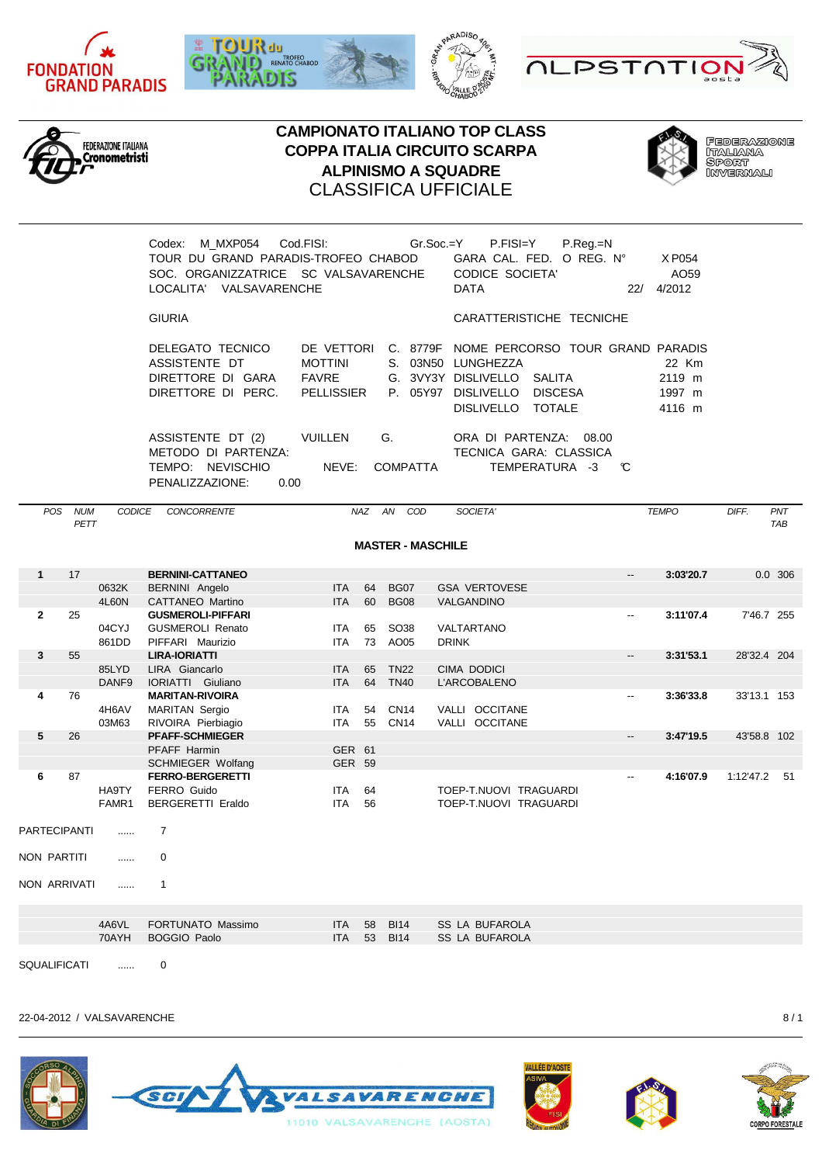











**FEDERAZIONE** leberxxar<br>Italiana<br>Sport<br>Invernali

| M MXP054<br>Codex:                   | Cod.FISI:                | $Gr.Soc = Y$ | P.FISI=Y                                  | $P_{R}$ eq. $=N$ |                  |
|--------------------------------------|--------------------------|--------------|-------------------------------------------|------------------|------------------|
| TOUR DU GRAND PARADIS-TROFEO CHABOD  |                          |              | GARA CAL. FED. O REG. N°                  |                  | X P054           |
| SOC. ORGANIZZATRICE SC VALSAVARENCHE |                          |              | CODICE SOCIETA'                           |                  | AO <sub>59</sub> |
| VALSAVARENCHE<br>LOCALITA'           |                          |              | <b>DATA</b>                               | 22/              | 4/2012           |
|                                      |                          |              |                                           |                  |                  |
| <b>GIURIA</b>                        |                          |              | CARATTERISTICHE TECNICHE                  |                  |                  |
|                                      |                          |              |                                           |                  |                  |
| DELEGATO TECNICO                     | DE VETTORI               |              | C. 8779F NOME PERCORSO TOUR GRAND PARADIS |                  |                  |
| ASSISTENTE DT                        | <b>MOTTINI</b>           |              | S. 03N50 LUNGHEZZA                        |                  | 22 Km            |
| DIRETTORE DI GARA                    | FAVRE                    |              | G. 3VY3Y DISLIVELLO SALITA                |                  | 2119 m           |
| DIRETTORE DI PERC.                   | PELLISSIER               | P. 05Y97     | DISLIVELLO<br><b>DISCESA</b>              |                  | 1997 m           |
|                                      |                          |              | DISLIVELLO TOTALE                         |                  | 4116 m           |
|                                      |                          |              |                                           |                  |                  |
| ASSISTENTE DT (2)                    | <b>VUILLEN</b><br>G.     |              | ORA DI PARTENZA: 08.00                    |                  |                  |
| METODO DI PARTENZA:                  |                          |              | TECNICA GARA: CLASSICA                    |                  |                  |
| <b>NEVISCHIO</b><br>TEMPO:           | NEVE:<br><b>COMPATTA</b> |              | TEMPERATURA -3                            | C                |                  |
|                                      |                          |              |                                           |                  |                  |

PENALIZZAZIONE: 0.00

| POS                 | <b>NUM</b><br>PETT | CODICE                     | <b>CONCORRENTE</b>                                                                             |                                           | <b>NAZ</b> | AN<br>COD                  | SOCIETA'                                         | <b>TEMPO</b>             |           | DIFF.       | PNT<br><b>TAB</b> |
|---------------------|--------------------|----------------------------|------------------------------------------------------------------------------------------------|-------------------------------------------|------------|----------------------------|--------------------------------------------------|--------------------------|-----------|-------------|-------------------|
|                     |                    |                            |                                                                                                |                                           |            | <b>MASTER - MASCHILE</b>   |                                                  |                          |           |             |                   |
| $\mathbf{1}$        | 17                 |                            | <b>BERNINI-CATTANEO</b>                                                                        |                                           |            |                            |                                                  | $\overline{\phantom{a}}$ | 3:03'20.7 |             | 0.0 306           |
|                     |                    | 0632K<br>4L60N             | BERNINI Angelo<br>CATTANEO Martino                                                             | <b>ITA</b><br><b>ITA</b>                  | 64<br>60   | <b>BG07</b><br><b>BG08</b> | <b>GSA VERTOVESE</b><br>VALGANDINO               |                          |           |             |                   |
| $\mathbf{2}$        | 25                 | 04CYJ<br>861DD             | <b>GUSMEROLI-PIFFARI</b><br><b>GUSMEROLI Renato</b><br>PIFFARI Maurizio                        | <b>ITA</b><br><b>ITA</b>                  | 65<br>73   | SO38<br>AO05               | VALTARTANO<br><b>DRINK</b>                       | --                       | 3:11'07.4 | 7'46.7 255  |                   |
| 3                   | 55                 |                            | <b>LIRA-IORIATTI</b>                                                                           |                                           |            |                            |                                                  | --                       | 3:31'53.1 | 28'32.4 204 |                   |
|                     |                    | 85LYD<br>DANF <sub>9</sub> | LIRA Giancarlo<br><b>IORIATTI Giuliano</b>                                                     | <b>ITA</b><br><b>ITA</b>                  | 65<br>64   | <b>TN22</b><br><b>TN40</b> | <b>CIMA DODICI</b><br>L'ARCOBALENO               |                          |           |             |                   |
| 4                   | 76                 | 4H6AV<br>03M63             | <b>MARITAN-RIVOIRA</b><br><b>MARITAN Sergio</b><br>RIVOIRA Pierbiagio                          | <b>ITA</b><br><b>ITA</b>                  | 54<br>55   | <b>CN14</b><br><b>CN14</b> | VALLI OCCITANE<br>VALLI OCCITANE                 | $\overline{\phantom{a}}$ | 3:36'33.8 | 33'13.1 153 |                   |
| 5                   | 26                 |                            | <b>PFAFF-SCHMIEGER</b><br>PFAFF Harmin                                                         | GER 61                                    |            |                            |                                                  | --                       | 3:47'19.5 | 43'58.8 102 |                   |
| 6                   | 87                 | HA9TY<br>FAMR1             | <b>SCHMIEGER Wolfang</b><br><b>FERRO-BERGERETTI</b><br>FERRO Guido<br><b>BERGERETTI Eraldo</b> | <b>GER 59</b><br><b>ITA</b><br><b>ITA</b> | 64<br>56   |                            | TOEP-T.NUOVI TRAGUARDI<br>TOEP-T.NUOVI TRAGUARDI | $\overline{\phantom{a}}$ | 4:16'07.9 | 1:12'47.2   | 51                |
| <b>PARTECIPANTI</b> |                    | $\cdots$                   | 7                                                                                              |                                           |            |                            |                                                  |                          |           |             |                   |
| NON PARTITI         |                    | .                          | $\Omega$                                                                                       |                                           |            |                            |                                                  |                          |           |             |                   |
| NON ARRIVATI        |                    | .                          | $\mathbf{1}$                                                                                   |                                           |            |                            |                                                  |                          |           |             |                   |
|                     |                    |                            |                                                                                                |                                           |            |                            |                                                  |                          |           |             |                   |
|                     |                    | 4A6VL                      | FORTUNATO Massimo                                                                              | <b>ITA</b>                                | 58         | <b>BI14</b>                | <b>SS LA BUFAROLA</b>                            |                          |           |             |                   |
|                     |                    | 70AYH                      | <b>BOGGIO Paolo</b>                                                                            | <b>ITA</b>                                | 53         | <b>BI14</b>                | <b>SS LA BUFAROLA</b>                            |                          |           |             |                   |

SQUALIFICATI ...... 0

22-04-2012 / VALSAVARENCHE 8 / 1







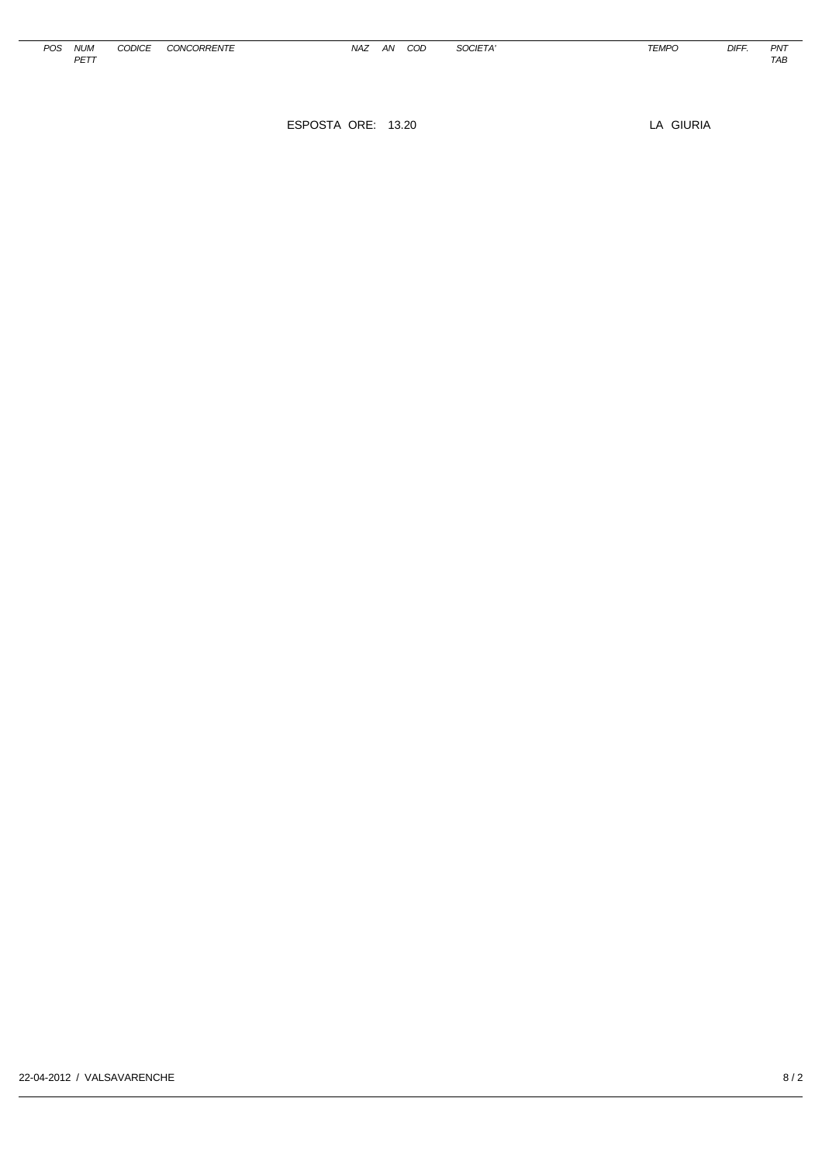| <b>POS</b> | <b>NUM</b>        | CODICE<br>JUDICI | <b>CONCORRENTE</b> | NA. | AN | COD | <i>SOCIET</i><br>$   -$ | <b>TEMPO</b><br>' EMF | <b>DIFF</b> | PN <sub>7</sub> |
|------------|-------------------|------------------|--------------------|-----|----|-----|-------------------------|-----------------------|-------------|-----------------|
|            | DETT<br><u>LI</u> |                  |                    |     |    |     |                         |                       |             | TAE             |

ESPOSTA ORE: 13.20 LA GIURIA

NAZ AN COD SOCIETA' TEMPO DIFF. PNT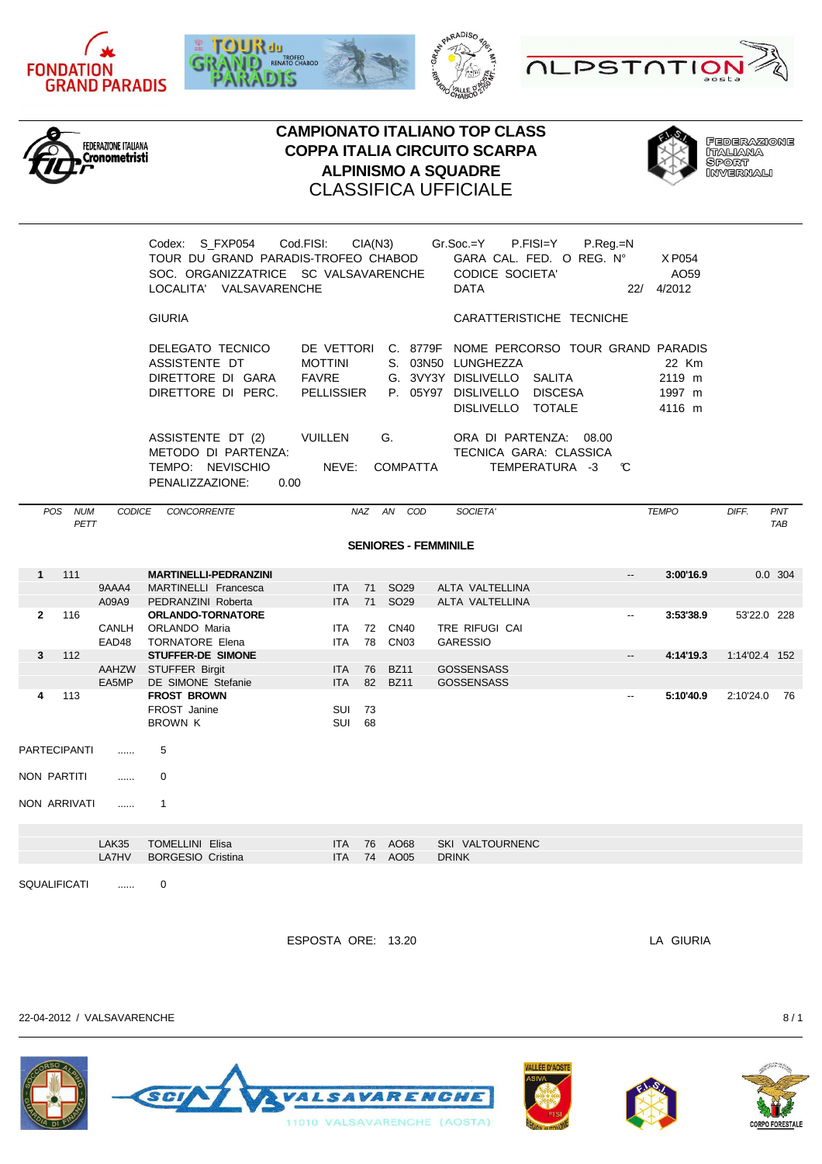











**FEDERAZIONE** leberxxar<br>Italiana<br>Sport<br>Invernali

|                    |                           |              | Codex: S FXP054<br>TOUR DU GRAND PARADIS-TROFEO CHABOD<br>SOC. ORGANIZZATRICE SC VALSAVARENCHE<br>LOCALITA' VALSAVARENCHE | Cod.FISI:                                                         | CIA(N3)  |                             | $Gr.Soc = Y$<br><b>CODICE SOCIETA'</b><br><b>DATA</b>                                                | P.FISI=Y<br>$P.$ Reg. $=N$<br>GARA CAL. FED. O REG. Nº             | 22/                      | X P054<br>AO <sub>59</sub><br>4/2012 |               |                   |
|--------------------|---------------------------|--------------|---------------------------------------------------------------------------------------------------------------------------|-------------------------------------------------------------------|----------|-----------------------------|------------------------------------------------------------------------------------------------------|--------------------------------------------------------------------|--------------------------|--------------------------------------|---------------|-------------------|
|                    |                           |              | <b>GIURIA</b>                                                                                                             |                                                                   |          |                             |                                                                                                      | CARATTERISTICHE TECNICHE                                           |                          |                                      |               |                   |
|                    |                           |              | DELEGATO TECNICO<br>ASSISTENTE DT<br>DIRETTORE DI GARA<br>DIRETTORE DI PERC.                                              | DE VETTORI<br><b>MOTTINI</b><br><b>FAVRE</b><br><b>PELLISSIER</b> |          |                             | S. 03N50 LUNGHEZZA<br>G. 3VY3Y DISLIVELLO SALITA<br>P. 05Y97 DISLIVELLO DISCESA<br>DISLIVELLO TOTALE | C. 8779F NOME PERCORSO TOUR GRAND PARADIS                          |                          | 22 Km<br>2119 m<br>1997 m<br>4116 m  |               |                   |
|                    |                           |              | ASSISTENTE DT (2)<br>METODO DI PARTENZA:<br>TEMPO: NEVISCHIO<br>PENALIZZAZIONE:<br>0.00                                   | <b>VUILLEN</b><br>NEVE:                                           |          | G.<br><b>COMPATTA</b>       |                                                                                                      | ORA DI PARTENZA: 08.00<br>TECNICA GARA: CLASSICA<br>TEMPERATURA -3 | C                        |                                      |               |                   |
|                    | POS<br><b>NUM</b><br>PETT | CODICE       | CONCORRENTE                                                                                                               | NAZ                                                               |          | AN<br>COD                   | SOCIETA'                                                                                             |                                                                    |                          | <b>TEMPO</b>                         | DIFF.         | PNT<br><b>TAB</b> |
|                    |                           |              |                                                                                                                           |                                                                   |          | <b>SENIORES - FEMMINILE</b> |                                                                                                      |                                                                    |                          |                                      |               |                   |
|                    |                           |              |                                                                                                                           |                                                                   |          |                             |                                                                                                      |                                                                    |                          |                                      |               |                   |
| $\mathbf{1}$       | 111                       |              | <b>MARTINELLI-PEDRANZINI</b>                                                                                              |                                                                   |          |                             |                                                                                                      |                                                                    | --                       | 3:00'16.9                            |               | 0.0 304           |
|                    |                           | 9AAA4        | MARTINELLI Francesca                                                                                                      | <b>ITA</b>                                                        | 71       | SO <sub>29</sub>            | ALTA VALTELLINA                                                                                      |                                                                    |                          |                                      |               |                   |
|                    |                           | A09A9        | PEDRANZINI Roberta                                                                                                        | <b>ITA</b>                                                        |          | 71 SO29                     | ALTA VALTELLINA                                                                                      |                                                                    |                          |                                      |               |                   |
| $\mathbf{2}$       | 116                       |              | <b>ORLANDO-TORNATORE</b>                                                                                                  |                                                                   |          |                             |                                                                                                      |                                                                    | $\overline{\phantom{a}}$ | 3:53'38.9                            | 53'22.0 228   |                   |
|                    |                           | <b>CANLH</b> | ORLANDO Maria                                                                                                             | <b>ITA</b>                                                        | 72       | <b>CN40</b>                 | TRE RIFUGI CAI                                                                                       |                                                                    |                          |                                      |               |                   |
|                    |                           | EAD48        | <b>TORNATORE Elena</b>                                                                                                    | <b>ITA</b>                                                        | 78       | CN <sub>03</sub>            | <b>GARESSIO</b>                                                                                      |                                                                    |                          |                                      |               |                   |
| 3                  | 112                       |              | STUFFER-DE SIMONE                                                                                                         |                                                                   |          |                             |                                                                                                      |                                                                    | $\overline{\phantom{a}}$ | 4:14'19.3                            | 1:14'02.4 152 |                   |
|                    |                           | EA5MP        | AAHZW STUFFER Birgit<br>DE SIMONE Stefanie                                                                                | <b>ITA</b><br><b>ITA</b>                                          | 76<br>82 | <b>BZ11</b><br><b>BZ11</b>  | <b>GOSSENSASS</b><br><b>GOSSENSASS</b>                                                               |                                                                    |                          |                                      |               |                   |
| 4                  | 113                       |              | <b>FROST BROWN</b>                                                                                                        |                                                                   |          |                             |                                                                                                      |                                                                    |                          | 5:10'40.9                            | 2:10'24.0     | - 76              |
|                    |                           |              | FROST Janine<br><b>BROWN K</b>                                                                                            | SUI<br>SUI                                                        | 73<br>68 |                             |                                                                                                      |                                                                    |                          |                                      |               |                   |
|                    | <b>PARTECIPANTI</b>       | .            | 5                                                                                                                         |                                                                   |          |                             |                                                                                                      |                                                                    |                          |                                      |               |                   |
| <b>NON PARTITI</b> |                           | .            | $\Omega$                                                                                                                  |                                                                   |          |                             |                                                                                                      |                                                                    |                          |                                      |               |                   |
|                    | <b>NON ARRIVATI</b>       | $\cdots$     | $\mathbf{1}$                                                                                                              |                                                                   |          |                             |                                                                                                      |                                                                    |                          |                                      |               |                   |
|                    |                           | <b>LAK35</b> | <b>TOMELLINI Elisa</b>                                                                                                    | <b>ITA</b>                                                        | 76       | AO68                        |                                                                                                      |                                                                    |                          |                                      |               |                   |
|                    |                           | LA7HV        | <b>BORGESIO Cristina</b>                                                                                                  | <b>ITA</b>                                                        |          | 74 AO05                     | SKI VALTOURNENC<br><b>DRINK</b>                                                                      |                                                                    |                          |                                      |               |                   |
|                    |                           |              |                                                                                                                           |                                                                   |          |                             |                                                                                                      |                                                                    |                          |                                      |               |                   |
|                    | <b>SQUALIFICATI</b>       | .            | $\Omega$                                                                                                                  |                                                                   |          |                             |                                                                                                      |                                                                    |                          |                                      |               |                   |

ESPOSTA ORE: 13.20 LA GIURIA

22-04-2012 / VALSAVARENCHE 8 / 1







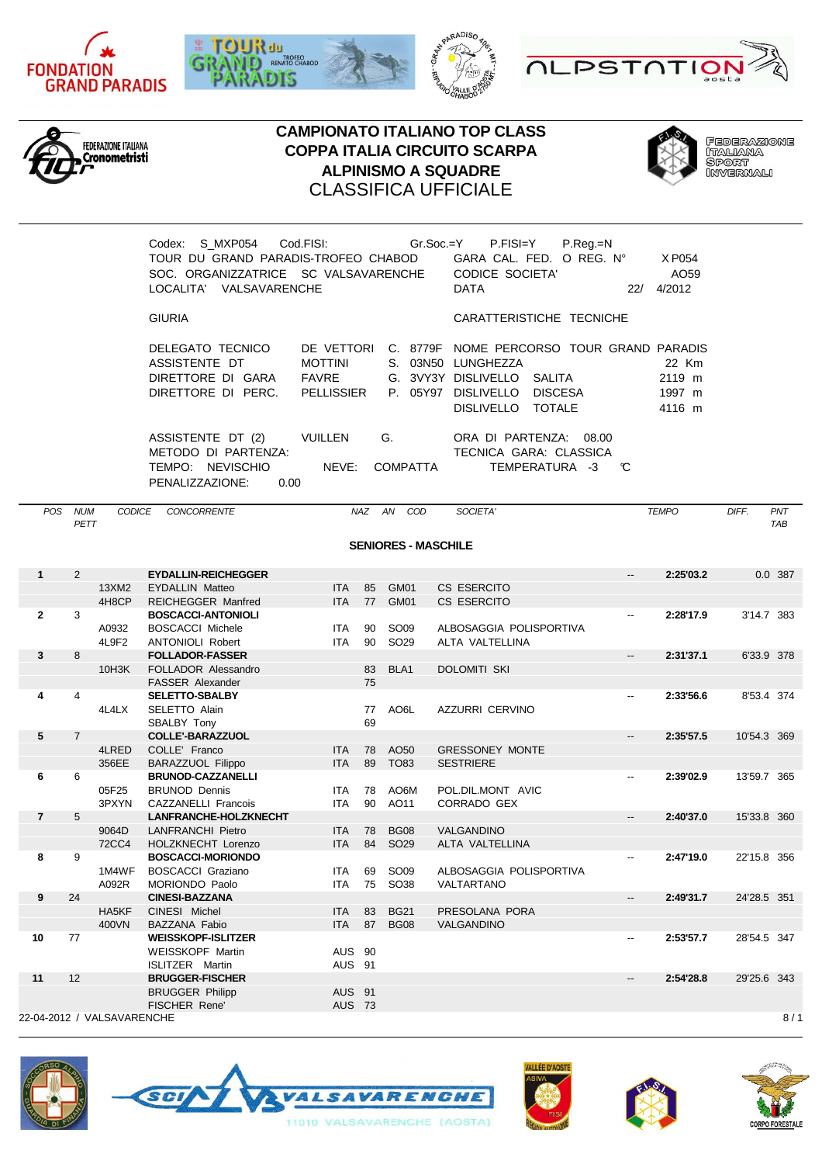











**FEDERAZIONE** leberxxar<br>Italiana<br>Sport<br>Invernali

| Codex:<br>LOCALITA' VALSAVARENCHE                                                       | TOUR DU GRAND PARADIS-TROFEO CHABOD<br>SOC. ORGANIZZATRICE SC VALSAVARENCHE | S MXP054    Cod.FISI:    Gr.Soc.=Y    P.FISI=Y    P.Req.=N<br>GARA CAL. FED. O REG. N°<br>X P054<br><b>CODICE SOCIETA'</b><br>AO <sub>59</sub><br>4/2012<br>DATA<br>22/   |
|-----------------------------------------------------------------------------------------|-----------------------------------------------------------------------------|---------------------------------------------------------------------------------------------------------------------------------------------------------------------------|
| <b>GIURIA</b>                                                                           |                                                                             | CARATTERISTICHE TECNICHE                                                                                                                                                  |
| DELEGATO TECNICO<br>ASSISTENTE DT<br>DIRETTORE DI GARA<br>DIRETTORE DI PERC. PELLISSIER | DE VETTORI<br><b>MOTTINI</b><br>S. 03N50<br>FAVRE<br>P. 05Y97               | C. 8779F NOME PERCORSO TOUR GRAND PARADIS<br>LUNGHEZZA<br>22 Km<br>G. 3VY3Y DISLIVELLO<br>2119 m<br>SALITA<br>DISLIVELLO DISCESA<br>1997 m<br>DISLIVELLO TOTALE<br>4116 m |
| ASSISTENTE DT (2)<br>METODO DI PARTENZA:<br>NEVISCHIO<br>TEMPO:                         | G.<br><b>VUILLEN</b><br>NEVE:<br><b>COMPATTA</b>                            | ORA DI PARTENZA: 08.00<br>TECNICA GARA: CLASSICA<br>TEMPERATURA -3<br>C.                                                                                                  |

PENALIZZAZIONE: 0.00

| <b>POS</b>     | <b>NUM</b><br>PETT | CODICE                     | CONCORRENTE                                         |                          | NAZ      | AN<br>COD                  | SOCIETA'                   |                          | <b>TEMPO</b> | DIFF.       | PNT<br><b>TAB</b> |
|----------------|--------------------|----------------------------|-----------------------------------------------------|--------------------------|----------|----------------------------|----------------------------|--------------------------|--------------|-------------|-------------------|
|                |                    |                            |                                                     |                          |          | <b>SENIORES - MASCHILE</b> |                            |                          |              |             |                   |
|                |                    |                            |                                                     |                          |          |                            |                            |                          |              |             |                   |
| $\mathbf{1}$   | $\overline{2}$     |                            | <b>EYDALLIN-REICHEGGER</b>                          |                          |          |                            |                            | $\overline{\phantom{a}}$ | 2:25'03.2    |             | 0.0 387           |
|                |                    | 13XM2<br>4H8CP             | <b>EYDALLIN Matteo</b><br><b>REICHEGGER Manfred</b> | <b>ITA</b><br><b>ITA</b> | 85<br>77 | GM01<br>GM01               | CS ESERCITO<br>CS ESERCITO |                          |              |             |                   |
| $\mathbf{2}$   | 3                  |                            | <b>BOSCACCI-ANTONIOLI</b>                           |                          |          |                            |                            | --                       | 2:28'17.9    | 3'14.7 383  |                   |
|                |                    | A0932                      | <b>BOSCACCI Michele</b>                             | <b>ITA</b>               | 90       | <b>SO09</b>                | ALBOSAGGIA POLISPORTIVA    |                          |              |             |                   |
|                |                    | 4L9F2                      | <b>ANTONIOLI Robert</b>                             | <b>ITA</b>               | 90       | SO <sub>29</sub>           | ALTA VALTELLINA            |                          |              |             |                   |
| 3              | 8                  |                            | <b>FOLLADOR-FASSER</b>                              |                          |          |                            |                            | --                       | 2:31'37.1    | 6'33.9 378  |                   |
|                |                    | 10H3K                      | FOLLADOR Alessandro                                 |                          | 83       | BLA <sub>1</sub>           | <b>DOLOMITI SKI</b>        |                          |              |             |                   |
|                |                    |                            | <b>FASSER Alexander</b>                             |                          | 75       |                            |                            |                          |              |             |                   |
| 4              | $\overline{4}$     |                            | <b>SELETTO-SBALBY</b>                               |                          |          |                            |                            | --                       | 2:33'56.6    | 8'53.4 374  |                   |
|                |                    | 4L4LX                      | SELETTO Alain                                       |                          | 77       | AO <sub>6</sub> L          | <b>AZZURRI CERVINO</b>     |                          |              |             |                   |
|                |                    |                            | SBALBY Tony                                         |                          | 69       |                            |                            |                          |              |             |                   |
| 5              | $\overline{7}$     |                            | <b>COLLE'-BARAZZUOL</b>                             |                          |          |                            |                            | $\overline{\phantom{a}}$ | 2:35'57.5    | 10'54.3 369 |                   |
|                |                    | 4LRED                      | COLLE' Franco                                       | <b>ITA</b>               | 78       | AO50                       | <b>GRESSONEY MONTE</b>     |                          |              |             |                   |
|                |                    | 356EE                      | <b>BARAZZUOL Filippo</b>                            | <b>ITA</b>               | 89       | <b>TO83</b>                | <b>SESTRIERE</b>           |                          |              |             |                   |
| 6              | 6                  |                            | <b>BRUNOD-CAZZANELLI</b>                            |                          |          |                            |                            |                          | 2:39'02.9    | 13'59.7 365 |                   |
|                |                    | 05F25                      | <b>BRUNOD Dennis</b>                                | <b>ITA</b>               | 78       | AO6M                       | POL.DIL.MONT AVIC          |                          |              |             |                   |
|                |                    | 3PXYN                      | CAZZANELLI Francois                                 | <b>ITA</b>               | 90       | AO11                       | CORRADO GEX                |                          |              |             |                   |
| $\overline{7}$ | 5                  |                            | <b>LANFRANCHE-HOLZKNECHT</b>                        |                          |          |                            |                            | --                       | 2:40'37.0    | 15'33.8 360 |                   |
|                |                    | 9064D                      | <b>LANFRANCHI Pietro</b>                            | <b>ITA</b>               | 78       | <b>BG08</b>                | <b>VALGANDINO</b>          |                          |              |             |                   |
|                |                    | <b>72CC4</b>               | HOLZKNECHT Lorenzo                                  | <b>ITA</b>               | 84       | <b>SO29</b>                | ALTA VALTELLINA            |                          |              |             |                   |
| 8              | 9                  |                            | <b>BOSCACCI-MORIONDO</b>                            |                          |          |                            |                            | $\overline{a}$           | 2:47'19.0    | 22'15.8 356 |                   |
|                |                    | 1M4WF                      | <b>BOSCACCI Graziano</b>                            | <b>ITA</b>               | 69       | <b>SO09</b>                | ALBOSAGGIA POLISPORTIVA    |                          |              |             |                   |
|                |                    | A092R                      | MORIONDO Paolo                                      | <b>ITA</b>               | 75       | <b>SO38</b>                | VALTARTANO                 |                          |              |             |                   |
| 9              | 24                 |                            | <b>CINESI-BAZZANA</b>                               |                          |          |                            |                            | $\overline{\phantom{a}}$ | 2:49'31.7    | 24'28.5 351 |                   |
|                |                    | HA5KF                      | CINESI Michel                                       | <b>ITA</b>               | 83       | <b>BG21</b>                | PRESOLANA PORA             |                          |              |             |                   |
|                |                    | 400VN                      | <b>BAZZANA Fabio</b>                                | <b>ITA</b>               | 87       | <b>BG08</b>                | VALGANDINO                 |                          |              |             |                   |
| 10             | 77                 |                            | <b>WEISSKOPF-ISLITZER</b>                           |                          |          |                            |                            | $\overline{\phantom{a}}$ | 2:53'57.7    | 28'54.5 347 |                   |
|                |                    |                            | WEISSKOPF Martin                                    | <b>AUS 90</b>            |          |                            |                            |                          |              |             |                   |
|                |                    |                            | <b>ISLITZER</b> Martin                              | AUS 91                   |          |                            |                            |                          |              |             |                   |
| 11             | 12                 |                            | <b>BRUGGER-FISCHER</b>                              |                          |          |                            |                            | $\overline{\phantom{a}}$ | 2:54'28.8    | 29'25.6 343 |                   |
|                |                    |                            | <b>BRUGGER Philipp</b>                              | AUS 91                   |          |                            |                            |                          |              |             |                   |
|                |                    |                            | <b>FISCHER Rene'</b>                                | <b>AUS 73</b>            |          |                            |                            |                          |              |             |                   |
|                |                    | 22-04-2012 / VALSAVARENCHE |                                                     |                          |          |                            |                            |                          |              |             | 8/1               |









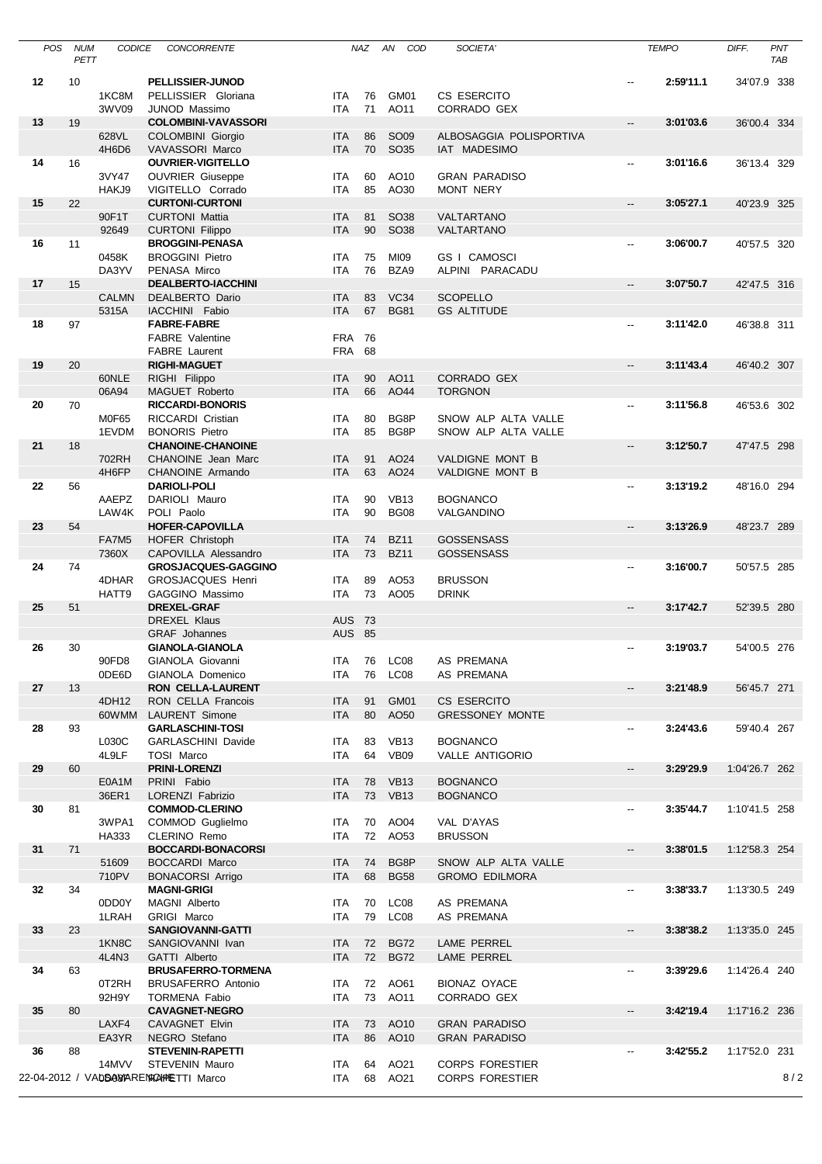| <b>POS</b> | <b>NUM</b><br>PETT | <b>CODICE</b>  | CONCORRENTE                                       |                          | NAZ      | AN<br>COD                       | SOCIETA'                                |                          | <b>TEMPO</b> | DIFF.         | PNT<br><b>TAB</b> |
|------------|--------------------|----------------|---------------------------------------------------|--------------------------|----------|---------------------------------|-----------------------------------------|--------------------------|--------------|---------------|-------------------|
| 12         | 10                 |                | PELLISSIER-JUNOD                                  |                          |          |                                 |                                         |                          | 2:59'11.1    | 34'07.9 338   |                   |
|            |                    | 1KC8M          | PELLISSIER Gloriana                               | ITA                      | 76       | GM01                            | CS ESERCITO                             |                          |              |               |                   |
|            |                    | 3WV09          | <b>JUNOD Massimo</b>                              | <b>ITA</b>               | 71       | AO11                            | CORRADO GEX                             |                          |              |               |                   |
| 13         | 19                 |                | <b>COLOMBINI-VAVASSORI</b>                        |                          |          |                                 |                                         | $\overline{\phantom{a}}$ | 3:01'03.6    | 36'00.4 334   |                   |
|            |                    | 628VL<br>4H6D6 | <b>COLOMBINI Giorgio</b><br>VAVASSORI Marco       | <b>ITA</b><br><b>ITA</b> | 86<br>70 | <b>SO09</b><br><b>SO35</b>      | ALBOSAGGIA POLISPORTIVA<br>IAT MADESIMO |                          |              |               |                   |
| 14         | 16                 |                | <b>OUVRIER-VIGITELLO</b>                          |                          |          |                                 |                                         | --                       | 3:01'16.6    | 36'13.4 329   |                   |
|            |                    | 3VY47          | <b>OUVRIER Giuseppe</b>                           | ITA                      | 60       | AO10                            | <b>GRAN PARADISO</b>                    |                          |              |               |                   |
|            |                    | HAKJ9          | VIGITELLO Corrado                                 | <b>ITA</b>               | 85       | AO30                            | MONT NERY                               |                          |              |               |                   |
| 15         | 22                 |                | <b>CURTONI-CURTONI</b>                            |                          |          |                                 |                                         | Щ.                       | 3:05'27.1    | 40'23.9 325   |                   |
|            |                    | 90F1T          | <b>CURTONI Mattia</b>                             | <b>ITA</b>               | 81       | <b>SO38</b>                     | VALTARTANO                              |                          |              |               |                   |
| 16         |                    | 92649          | <b>CURTONI Filippo</b>                            | <b>ITA</b>               | 90       | <b>SO38</b>                     | VALTARTANO                              |                          | 3:06'00.7    |               |                   |
|            | 11                 | 0458K          | <b>BROGGINI-PENASA</b><br><b>BROGGINI Pietro</b>  | <b>ITA</b>               | 75       | MI09                            | GS I CAMOSCI                            | --                       |              | 40'57.5 320   |                   |
|            |                    | DA3YV          | PENASA Mirco                                      | <b>ITA</b>               | 76       | BZA9                            | ALPINI PARACADU                         |                          |              |               |                   |
| 17         | 15                 |                | <b>DEALBERTO-IACCHINI</b>                         |                          |          |                                 |                                         | $\overline{\phantom{a}}$ | 3:07'50.7    | 42'47.5 316   |                   |
|            |                    | <b>CALMN</b>   | DEALBERTO Dario                                   | <b>ITA</b>               | 83       | VC34                            | <b>SCOPELLO</b>                         |                          |              |               |                   |
|            |                    | 5315A          | IACCHINI Fabio                                    | <b>ITA</b>               | 67       | <b>BG81</b>                     | <b>GS ALTITUDE</b>                      |                          |              |               |                   |
| 18         | 97                 |                | <b>FABRE-FABRE</b>                                |                          | 76       |                                 |                                         | --                       | 3:11'42.0    | 46'38.8 311   |                   |
|            |                    |                | <b>FABRE</b> Valentine<br><b>FABRE</b> Laurent    | <b>FRA</b><br><b>FRA</b> | 68       |                                 |                                         |                          |              |               |                   |
| 19         | 20                 |                | <b>RIGHI-MAGUET</b>                               |                          |          |                                 |                                         | $\overline{\phantom{a}}$ | 3:11'43.4    | 46'40.2 307   |                   |
|            |                    | 60NLE          | RIGHI Filippo                                     | <b>ITA</b>               | 90       | AO11                            | <b>CORRADO GEX</b>                      |                          |              |               |                   |
|            |                    | 06A94          | MAGUET Roberto                                    | <b>ITA</b>               | 66       | AO44                            | <b>TORGNON</b>                          |                          |              |               |                   |
| 20         | 70                 |                | <b>RICCARDI-BONORIS</b>                           |                          |          |                                 |                                         | $\overline{\phantom{a}}$ | 3:11'56.8    | 46'53.6 302   |                   |
|            |                    | <b>M0F65</b>   | RICCARDI Cristian                                 | <b>ITA</b>               | 80       | BG8P                            | SNOW ALP ALTA VALLE                     |                          |              |               |                   |
| 21         | 18                 | 1EVDM          | <b>BONORIS Pietro</b><br><b>CHANOINE-CHANOINE</b> | <b>ITA</b>               | 85       | BG8P                            | SNOW ALP ALTA VALLE                     | --                       | 3:12'50.7    | 47'47.5 298   |                   |
|            |                    | 702RH          | CHANOINE Jean Marc                                | <b>ITA</b>               | 91       | AO24                            | VALDIGNE MONT B                         |                          |              |               |                   |
|            |                    | 4H6FP          | CHANOINE Armando                                  | <b>ITA</b>               | 63       | AO24                            | VALDIGNE MONT B                         |                          |              |               |                   |
| 22         | 56                 |                | <b>DARIOLI-POLI</b>                               |                          |          |                                 |                                         | --                       | 3:13'19.2    | 48'16.0 294   |                   |
|            |                    | AAEPZ          | DARIOLI Mauro                                     | <b>ITA</b>               | 90       | <b>VB13</b>                     | <b>BOGNANCO</b>                         |                          |              |               |                   |
|            |                    | LAW4K          | POLI Paolo                                        | <b>ITA</b>               | 90       | <b>BG08</b>                     | VALGANDINO                              |                          |              |               |                   |
| 23         | 54                 |                | <b>HOFER-CAPOVILLA</b>                            |                          |          |                                 |                                         | $\overline{\phantom{a}}$ | 3:13'26.9    | 48'23.7 289   |                   |
|            |                    | FA7M5<br>7360X | HOFER Christoph<br>CAPOVILLA Alessandro           | <b>ITA</b><br><b>ITA</b> | 74<br>73 | <b>BZ11</b><br><b>BZ11</b>      | <b>GOSSENSASS</b><br><b>GOSSENSASS</b>  |                          |              |               |                   |
| 24         | 74                 |                | <b>GROSJACQUES-GAGGINO</b>                        |                          |          |                                 |                                         | --                       | 3:16'00.7    | 50'57.5 285   |                   |
|            |                    | 4DHAR          | <b>GROSJACQUES Henri</b>                          | <b>ITA</b>               | 89       | AO53                            | <b>BRUSSON</b>                          |                          |              |               |                   |
|            |                    | HATT9          | GAGGINO Massimo                                   | <b>ITA</b>               | 73       | AO05                            | <b>DRINK</b>                            |                          |              |               |                   |
| 25         | 51                 |                | <b>DREXEL-GRAF</b>                                |                          |          |                                 |                                         | --                       | 3:17'42.7    | 52'39.5 280   |                   |
|            |                    |                | <b>DREXEL Klaus</b>                               | <b>AUS 73</b>            |          |                                 |                                         |                          |              |               |                   |
| 26         | 30                 |                | <b>GRAF</b> Johannes<br><b>GIANOLA-GIANOLA</b>    | <b>AUS 85</b>            |          |                                 |                                         | $\overline{\phantom{a}}$ | 3:19'03.7    | 54'00.5 276   |                   |
|            |                    | 90FD8          | GIANOLA Giovanni                                  |                          |          | ITA 76 LC08                     | AS PREMANA                              |                          |              |               |                   |
|            |                    | 0DE6D          | GIANOLA Domenico                                  | ITA.                     |          | 76 LC08                         | AS PREMANA                              |                          |              |               |                   |
| 27         | 13                 |                | <b>RON CELLA-LAURENT</b>                          |                          |          |                                 |                                         | --                       | 3:21'48.9    | 56'45.7 271   |                   |
|            |                    | 4DH12          | RON CELLA Francois                                | ITA                      | 91       | GM01                            | CS ESERCITO                             |                          |              |               |                   |
|            |                    | 60WMM          | <b>LAURENT Simone</b>                             | <b>ITA</b>               | 80       | AO50                            | <b>GRESSONEY MONTE</b>                  |                          |              |               |                   |
| 28         | 93                 |                | <b>GARLASCHINI-TOSI</b>                           |                          |          |                                 |                                         | --                       | 3:24'43.6    | 59'40.4 267   |                   |
|            |                    | L030C<br>4L9LF | GARLASCHINI Davide<br><b>TOSI Marco</b>           | ITA<br>ITA               | 83<br>64 | <b>VB13</b><br>VB <sub>09</sub> | <b>BOGNANCO</b><br>VALLE ANTIGORIO      |                          |              |               |                   |
| 29         | 60                 |                | <b>PRINI-LORENZI</b>                              |                          |          |                                 |                                         | --                       | 3:29'29.9    | 1:04'26.7 262 |                   |
|            |                    | E0A1M          | PRINI Fabio                                       | ITA                      | 78       | <b>VB13</b>                     | <b>BOGNANCO</b>                         |                          |              |               |                   |
|            |                    | 36ER1          | LORENZI Fabrizio                                  | <b>ITA</b>               | 73       | <b>VB13</b>                     | <b>BOGNANCO</b>                         |                          |              |               |                   |
| 30         | 81                 |                | <b>COMMOD-CLERINO</b>                             |                          |          |                                 |                                         | --                       | 3:35'44.7    | 1:10'41.5 258 |                   |
|            |                    | 3WPA1          | COMMOD Guglielmo                                  | ITA                      | 70       | AO04                            | VAL D'AYAS                              |                          |              |               |                   |
| 31         | 71                 | HA333          | CLERINO Remo<br><b>BOCCARDI-BONACORSI</b>         | ITA                      | 72       | AO53                            | <b>BRUSSON</b>                          | $\overline{\phantom{a}}$ | 3:38'01.5    | 1:12'58.3 254 |                   |
|            |                    | 51609          | <b>BOCCARDI Marco</b>                             | ITA                      | 74       | BG8P                            | SNOW ALP ALTA VALLE                     |                          |              |               |                   |
|            |                    | 710PV          | <b>BONACORSI Arrigo</b>                           | <b>ITA</b>               | 68       | <b>BG58</b>                     | <b>GROMO EDILMORA</b>                   |                          |              |               |                   |
| 32         | 34                 |                | <b>MAGNI-GRIGI</b>                                |                          |          |                                 |                                         | --                       | 3:38'33.7    | 1:13'30.5 249 |                   |
|            |                    | 0DD0Y          | MAGNI Alberto                                     | ITA                      | 70       | LC08                            | AS PREMANA                              |                          |              |               |                   |
|            |                    | 1LRAH          | GRIGI Marco                                       | ITA                      | 79       | LC <sub>08</sub>                | AS PREMANA                              |                          |              |               |                   |
| 33         | 23                 |                | SANGIOVANNI-GATTI                                 |                          |          |                                 |                                         | --                       | 3:38'38.2    | 1:13'35.0 245 |                   |
|            |                    | 1KN8C<br>4L4N3 | SANGIOVANNI Ivan<br>GATTI Alberto                 | ITA<br>ITA               | 72<br>72 | <b>BG72</b><br><b>BG72</b>      | LAME PERREL<br>LAME PERREL              |                          |              |               |                   |
| 34         | 63                 |                | <b>BRUSAFERRO-TORMENA</b>                         |                          |          |                                 |                                         | $\overline{\phantom{a}}$ | 3:39'29.6    | 1:14'26.4 240 |                   |
|            |                    | 0T2RH          | <b>BRUSAFERRO Antonio</b>                         | ITA                      |          | 72 AO61                         | <b>BIONAZ OYACE</b>                     |                          |              |               |                   |
|            |                    | 92H9Y          | <b>TORMENA Fabio</b>                              | ITA                      | 73       | AO11                            | CORRADO GEX                             |                          |              |               |                   |
| 35         | 80                 |                | <b>CAVAGNET-NEGRO</b>                             |                          |          |                                 |                                         | --                       | 3:42'19.4    | 1:17'16.2 236 |                   |
|            |                    | LAXF4          | <b>CAVAGNET Elvin</b>                             | ITA                      | 73       | AO10                            | <b>GRAN PARADISO</b>                    |                          |              |               |                   |
|            |                    | EA3YR          | NEGRO Stefano                                     | <b>ITA</b>               | 86       | AO10                            | <b>GRAN PARADISO</b>                    |                          |              |               |                   |
| 36         | 88                 | 14MVV          | <b>STEVENIN-RAPETTI</b><br>STEVENIN Mauro         | ITA                      | 64       | AO21                            | <b>CORPS FORESTIER</b>                  | --                       | 3:42'55.2    | 1:17'52.0 231 |                   |
|            |                    |                | 22-04-2012 / VAbBAXARENACHMETTI Marco             | ITA.                     | 68       | AO21                            | <b>CORPS FORESTIER</b>                  |                          |              |               | 8/2               |
|            |                    |                |                                                   |                          |          |                                 |                                         |                          |              |               |                   |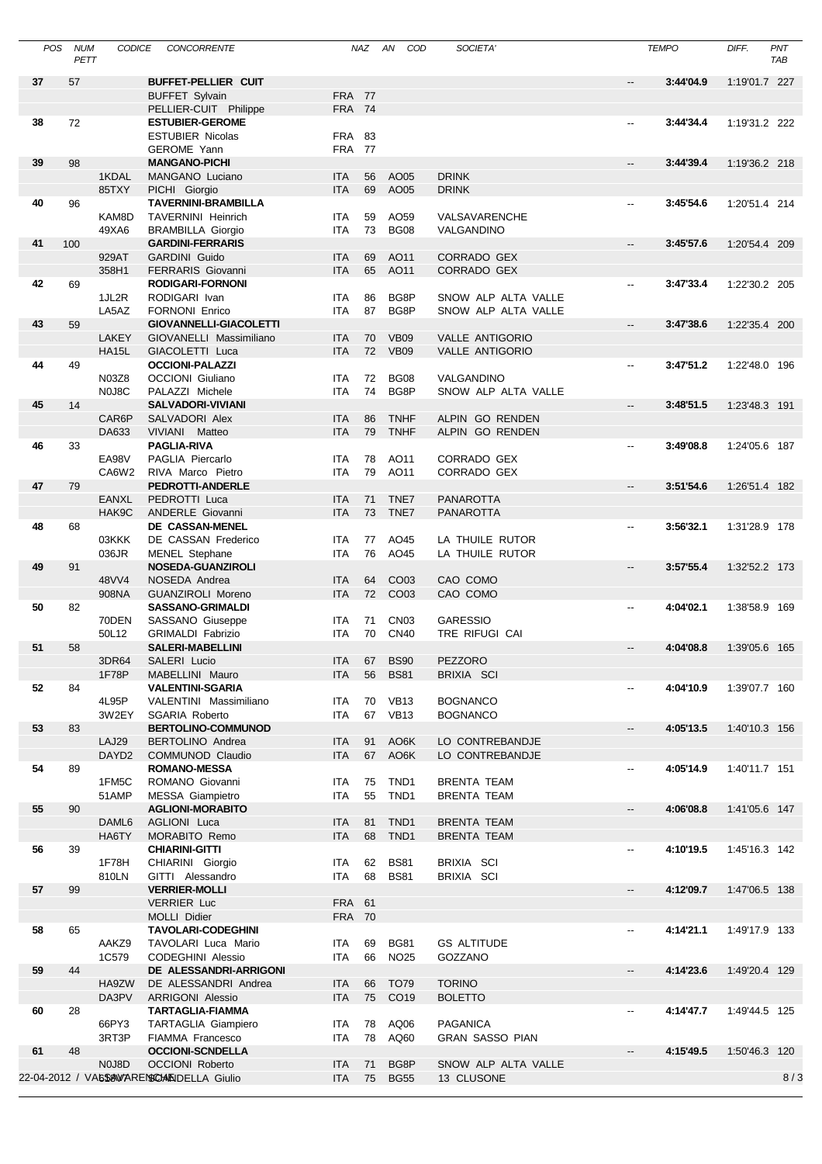| POS | <b>NUM</b> | <b>CODICE</b>                   | CONCORRENTE                                                        |                   | <b>NAZ</b> | AN<br>COD           | SOCIETA'                    |                          | <b>TEMPO</b> | DIFF.         | PNT |
|-----|------------|---------------------------------|--------------------------------------------------------------------|-------------------|------------|---------------------|-----------------------------|--------------------------|--------------|---------------|-----|
|     | PETT       |                                 |                                                                    |                   |            |                     |                             |                          |              |               | TAB |
| 37  | 57         |                                 | <b>BUFFET-PELLIER CUIT</b>                                         |                   |            |                     |                             | $-$                      | 3:44'04.9    | 1:19'01.7 227 |     |
|     |            |                                 | <b>BUFFET Sylvain</b>                                              | <b>FRA 77</b>     |            |                     |                             |                          |              |               |     |
| 38  | 72         |                                 | PELLIER-CUIT Philippe<br><b>ESTUBIER-GEROME</b>                    | <b>FRA 74</b>     |            |                     |                             | $\overline{\phantom{a}}$ | 3:44'34.4    | 1:19'31.2 222 |     |
|     |            |                                 | <b>ESTUBIER Nicolas</b>                                            | <b>FRA</b>        | 83         |                     |                             |                          |              |               |     |
|     |            |                                 | <b>GEROME Yann</b>                                                 | <b>FRA 77</b>     |            |                     |                             |                          |              |               |     |
| 39  | 98         |                                 | <b>MANGANO-PICHI</b>                                               |                   |            |                     |                             | --                       | 3:44'39.4    | 1:19'36.2 218 |     |
|     |            | 1KDAL                           | MANGANO Luciano                                                    | <b>ITA</b>        | 56         | AO05                | <b>DRINK</b>                |                          |              |               |     |
|     |            | 85TXY                           | PICHI Giorgio                                                      | <b>ITA</b>        | 69         | AO05                | <b>DRINK</b>                |                          |              |               |     |
| 40  | 96         |                                 | <b>TAVERNINI-BRAMBILLA</b>                                         |                   |            |                     |                             | --                       | 3:45'54.6    | 1:20'51.4 214 |     |
|     |            | KAM8D<br>49XA6                  | <b>TAVERNINI Heinrich</b><br><b>BRAMBILLA Giorgio</b>              | ITA<br><b>ITA</b> | 59<br>73   | AO59<br><b>BG08</b> | VALSAVARENCHE<br>VALGANDINO |                          |              |               |     |
| 41  | 100        |                                 | <b>GARDINI-FERRARIS</b>                                            |                   |            |                     |                             | $\overline{\phantom{a}}$ | 3:45'57.6    | 1:20'54.4 209 |     |
|     |            | 929AT                           | <b>GARDINI Guido</b>                                               | <b>ITA</b>        | 69         | AO11                | CORRADO GEX                 |                          |              |               |     |
|     |            | 358H1                           | FERRARIS Giovanni                                                  | <b>ITA</b>        | 65         | AO11                | CORRADO GEX                 |                          |              |               |     |
| 42  | 69         |                                 | <b>RODIGARI-FORNONI</b>                                            |                   |            |                     |                             | --                       | 3:47'33.4    | 1:22'30.2 205 |     |
|     |            | 1JL2R                           | RODIGARI Ivan                                                      | ITA               | 86         | BG8P                | SNOW ALP ALTA VALLE         |                          |              |               |     |
|     |            | LA5AZ                           | <b>FORNONI Enrico</b>                                              | <b>ITA</b>        | 87         | BG8P                | SNOW ALP ALTA VALLE         |                          |              |               |     |
| 43  | 59         |                                 | <b>GIOVANNELLI-GIACOLETTI</b>                                      |                   |            |                     |                             | --                       | 3:47'38.6    | 1:22'35.4 200 |     |
|     |            | <b>LAKEY</b>                    | GIOVANELLI Massimiliano                                            | <b>ITA</b>        | 70         | <b>VB09</b>         | <b>VALLE ANTIGORIO</b>      |                          |              |               |     |
| 44  | 49         | <b>HA15L</b>                    | GIACOLETTI Luca<br><b>OCCIONI-PALAZZI</b>                          | <b>ITA</b>        | 72         | <b>VB09</b>         | <b>VALLE ANTIGORIO</b>      | $\overline{\phantom{a}}$ | 3:47'51.2    | 1:22'48.0 196 |     |
|     |            | N03Z8                           | <b>OCCIONI</b> Giuliano                                            | <b>ITA</b>        | 72         | <b>BG08</b>         | VALGANDINO                  |                          |              |               |     |
|     |            | N <sub>0</sub> J <sub>8</sub> C | PALAZZI Michele                                                    | <b>ITA</b>        | 74         | BG8P                | SNOW ALP ALTA VALLE         |                          |              |               |     |
| 45  | 14         |                                 | <b>SALVADORI-VIVIANI</b>                                           |                   |            |                     |                             | $\overline{\phantom{a}}$ | 3:48'51.5    | 1:23'48.3 191 |     |
|     |            | CAR6P                           | SALVADORI Alex                                                     | <b>ITA</b>        | 86         | <b>TNHF</b>         | ALPIN GO RENDEN             |                          |              |               |     |
|     |            | DA633                           | VIVIANI Matteo                                                     | <b>ITA</b>        | 79         | <b>TNHF</b>         | ALPIN GO RENDEN             |                          |              |               |     |
| 46  | 33         |                                 | <b>PAGLIA-RIVA</b>                                                 |                   |            |                     |                             | $\overline{\phantom{a}}$ | 3:49'08.8    | 1:24'05.6 187 |     |
|     |            | EA98V                           | PAGLIA Piercarlo                                                   | <b>ITA</b>        | 78         | AO11                | CORRADO GEX                 |                          |              |               |     |
| 47  | 79         | CA6W2                           | RIVA Marco Pietro<br>PEDROTTI-ANDERLE                              | <b>ITA</b>        | 79         | AO11                | CORRADO GEX                 | $\overline{\phantom{a}}$ | 3:51'54.6    | 1:26'51.4 182 |     |
|     |            | <b>EANXL</b>                    | PEDROTTI Luca                                                      | <b>ITA</b>        | 71         | TNE7                | <b>PANAROTTA</b>            |                          |              |               |     |
|     |            | HAK9C                           | ANDERLE Giovanni                                                   | <b>ITA</b>        | 73         | TNE7                | <b>PANAROTTA</b>            |                          |              |               |     |
| 48  | 68         |                                 | DE CASSAN-MENEL                                                    |                   |            |                     |                             | --                       | 3:56'32.1    | 1:31'28.9 178 |     |
|     |            | 03KKK                           | DE CASSAN Frederico                                                | <b>ITA</b>        | 77         | AO45                | LA THUILE RUTOR             |                          |              |               |     |
|     |            | 036JR                           | MENEL Stephane                                                     | <b>ITA</b>        | 76         | AO45                | LA THUILE RUTOR             |                          |              |               |     |
| 49  | 91         |                                 | NOSEDA-GUANZIROLI                                                  |                   |            |                     |                             | $\overline{\phantom{a}}$ | 3:57'55.4    | 1:32'52.2 173 |     |
|     |            | 48VV4                           | NOSEDA Andrea                                                      | <b>ITA</b>        | 64         | CO <sub>03</sub>    | CAO COMO                    |                          |              |               |     |
| 50  |            | 908NA                           | <b>GUANZIROLI Moreno</b>                                           | <b>ITA</b>        | 72         | CO03                | CAO COMO                    |                          |              | 1:38'58.9 169 |     |
|     | 82         | 70DEN                           | <b>SASSANO-GRIMALDI</b><br>SASSANO Giuseppe                        | ITA               | 71         | CN <sub>03</sub>    | <b>GARESSIO</b>             | --                       | 4:04'02.1    |               |     |
|     |            | 50L12                           | <b>GRIMALDI Fabrizio</b>                                           | <b>ITA</b>        | 70         | <b>CN40</b>         | TRE RIFUGI CAI              |                          |              |               |     |
| 51  | 58         |                                 | <b>SALERI-MABELLINI</b>                                            |                   |            |                     |                             | --                       | 4:04'08.8    | 1:39'05.6 165 |     |
|     |            | 3DR64                           | SALERI Lucio                                                       |                   |            | ITA 67 BS90         | PEZZORO                     |                          |              |               |     |
|     |            | 1F78P                           | MABELLINI Mauro                                                    | <b>ITA</b>        | 56         | <b>BS81</b>         | BRIXIA SCI                  |                          |              |               |     |
| 52  | 84         |                                 | <b>VALENTINI-SGARIA</b>                                            |                   |            |                     |                             |                          | 4:04'10.9    | 1:39'07.7 160 |     |
|     |            | 4L95P                           | VALENTINI Massimiliano                                             | ITA               | 70         | <b>VB13</b>         | <b>BOGNANCO</b>             |                          |              |               |     |
| 53  | 83         | 3W2EY                           | SGARIA Roberto<br><b>BERTOLINO-COMMUNOD</b>                        | <b>ITA</b>        | 67         | <b>VB13</b>         | <b>BOGNANCO</b>             | $\overline{\phantom{a}}$ | 4:05'13.5    | 1:40'10.3 156 |     |
|     |            | LAJ29                           | <b>BERTOLINO Andrea</b>                                            | <b>ITA</b>        | 91         | AO6K                | LO CONTREBANDJE             |                          |              |               |     |
|     |            | DAYD <sub>2</sub>               | COMMUNOD Claudio                                                   | ITA               | 67         | AO6K                | LO CONTREBANDJE             |                          |              |               |     |
| 54  | 89         |                                 | <b>ROMANO-MESSA</b>                                                |                   |            |                     |                             | --                       | 4:05'14.9    | 1:40'11.7 151 |     |
|     |            | 1FM5C                           | ROMANO Giovanni                                                    | ITA               | 75         | TND1                | <b>BRENTA TEAM</b>          |                          |              |               |     |
|     |            | 51AMP                           | MESSA Giampietro                                                   | ITA               | 55         | TND1                | <b>BRENTA TEAM</b>          |                          |              |               |     |
| 55  | 90         |                                 | <b>AGLIONI-MORABITO</b>                                            |                   |            |                     |                             | --                       | 4:06'08.8    | 1:41'05.6 147 |     |
|     |            | DAML <sub>6</sub><br>HA6TY      | <b>AGLIONI</b> Luca<br>MORABITO Remo                               | ITA<br><b>ITA</b> | 81<br>68   | TND1<br>TND1        | <b>BRENTA TEAM</b>          |                          |              |               |     |
| 56  | 39         |                                 | <b>CHIARINI-GITTI</b>                                              |                   |            |                     | <b>BRENTA TEAM</b>          | --                       | 4:10'19.5    | 1:45'16.3 142 |     |
|     |            | 1F78H                           | CHIARINI Giorgio                                                   | <b>ITA</b>        | 62         | <b>BS81</b>         | BRIXIA SCI                  |                          |              |               |     |
|     |            | 810LN                           | GITTI Alessandro                                                   | ITA               | 68         | <b>BS81</b>         | BRIXIA SCI                  |                          |              |               |     |
| 57  | 99         |                                 | <b>VERRIER-MOLLI</b>                                               |                   |            |                     |                             | --                       | 4:12'09.7    | 1:47'06.5 138 |     |
|     |            |                                 | <b>VERRIER Luc</b>                                                 | FRA 61            |            |                     |                             |                          |              |               |     |
|     |            |                                 | MOLLI Didier                                                       | <b>FRA 70</b>     |            |                     |                             |                          |              |               |     |
| 58  | 65         |                                 | <b>TAVOLARI-CODEGHINI</b>                                          |                   |            |                     |                             | --                       | 4:14'21.1    | 1:49'17.9 133 |     |
|     |            | AAKZ9                           | TAVOLARI Luca Mario                                                | ITA               | 69         | <b>BG81</b>         | <b>GS ALTITUDE</b>          |                          |              |               |     |
| 59  | 44         | 1C579                           | <b>CODEGHINI Alessio</b><br>DE ALESSANDRI-ARRIGONI                 | ITA               | 66         | <b>NO25</b>         | GOZZANO                     | --                       | 4:14'23.6    | 1:49'20.4 129 |     |
|     |            | HA9ZW                           | DE ALESSANDRI Andrea                                               | ITA               | 66         | <b>TO79</b>         | <b>TORINO</b>               |                          |              |               |     |
|     |            | DA3PV                           | <b>ARRIGONI Alessio</b>                                            | <b>ITA</b>        | 75         | CO19                | <b>BOLETTO</b>              |                          |              |               |     |
| 60  | 28         |                                 | <b>TARTAGLIA-FIAMMA</b>                                            |                   |            |                     |                             | --                       | 4:14'47.7    | 1:49'44.5 125 |     |
|     |            | 66PY3                           | <b>TARTAGLIA Giampiero</b>                                         | ITA               | 78         | AQ06                | <b>PAGANICA</b>             |                          |              |               |     |
|     |            | 3RT3P                           | FIAMMA Francesco                                                   | ITA               | 78         | AQ60                | <b>GRAN SASSO PIAN</b>      |                          |              |               |     |
| 61  | 48         |                                 | <b>OCCIONI-SCNDELLA</b>                                            |                   |            |                     | SNOW ALP ALTA VALLE         | --                       | 4:15'49.5    | 1:50'46.3 120 |     |
|     |            | N0J8D                           | <b>OCCIONI Roberto</b><br>22-04-2012 / VAGSAVARENSCHANDELLA Giulio | ITA<br><b>ITA</b> | 71<br>75   | BG8P<br><b>BG55</b> | 13 CLUSONE                  |                          |              |               | 8/3 |
|     |            |                                 |                                                                    |                   |            |                     |                             |                          |              |               |     |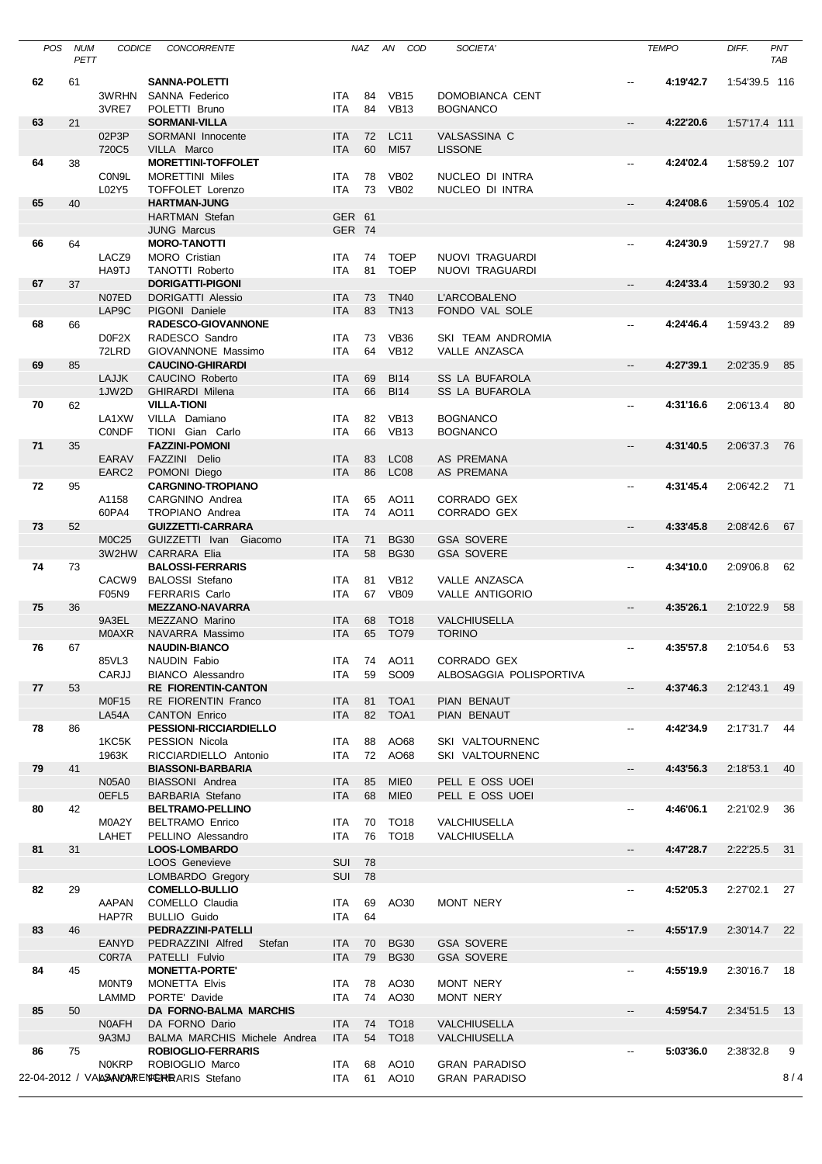| <b>POS</b> | <b>NUM</b> | <b>CODICE</b>     | <b>CONCORRENTE</b>                                          |                          | NAZ      | AN<br>COD        | SOCIETA'                                     |                          | <b>TEMPO</b> | DIFF.         | PNT  |
|------------|------------|-------------------|-------------------------------------------------------------|--------------------------|----------|------------------|----------------------------------------------|--------------------------|--------------|---------------|------|
|            | PETT       |                   |                                                             |                          |          |                  |                                              |                          |              |               | TAB  |
| 62         | 61         |                   | <b>SANNA-POLETTI</b>                                        |                          |          |                  |                                              |                          | 4:19'42.7    | 1:54'39.5 116 |      |
|            |            | 3WRHN             | SANNA Federico                                              | ITA                      | 84       | <b>VB15</b>      | DOMOBIANCA CENT                              |                          |              |               |      |
|            |            | 3VRE7             | POLETTI Bruno                                               | <b>ITA</b>               | 84       | <b>VB13</b>      | <b>BOGNANCO</b>                              |                          |              |               |      |
| 63         | 21         | 02P3P             | <b>SORMANI-VILLA</b><br>SORMANI Innocente                   | <b>ITA</b>               | 72       | <b>LC11</b>      | <b>VALSASSINA C</b>                          | $\overline{\phantom{a}}$ | 4:22'20.6    | 1:57'17.4 111 |      |
|            |            | 720C5             | VILLA Marco                                                 | <b>ITA</b>               | 60       | MI57             | <b>LISSONE</b>                               |                          |              |               |      |
| 64         | 38         |                   | <b>MORETTINI-TOFFOLET</b>                                   |                          |          |                  |                                              | --                       | 4:24'02.4    | 1:58'59.2 107 |      |
|            |            | C0N9L             | <b>MORETTINI Miles</b>                                      | ITA                      | 78       | <b>VB02</b>      | NUCLEO DI INTRA                              |                          |              |               |      |
|            |            | L02Y5             | TOFFOLET Lorenzo                                            | <b>ITA</b>               | 73       | <b>VB02</b>      | NUCLEO DI INTRA                              |                          |              |               |      |
| 65         | 40         |                   | <b>HARTMAN-JUNG</b>                                         |                          |          |                  |                                              | $\overline{\phantom{a}}$ | 4:24'08.6    | 1:59'05.4 102 |      |
|            |            |                   | <b>HARTMAN Stefan</b><br><b>JUNG Marcus</b>                 | GER 61<br>GER 74         |          |                  |                                              |                          |              |               |      |
| 66         | 64         |                   | <b>MORO-TANOTTI</b>                                         |                          |          |                  |                                              | --                       | 4:24'30.9    | 1:59'27.7     | 98   |
|            |            | LACZ9             | <b>MORO</b> Cristian                                        | ITA                      | 74       | <b>TOEP</b>      | NUOVI TRAGUARDI                              |                          |              |               |      |
|            |            | HA9TJ             | <b>TANOTTI Roberto</b>                                      | <b>ITA</b>               | 81       | <b>TOEP</b>      | NUOVI TRAGUARDI                              |                          |              |               |      |
| 67         | 37         |                   | <b>DORIGATTI-PIGONI</b>                                     |                          |          |                  |                                              | --                       | 4:24'33.4    | 1:59'30.2     | 93   |
|            |            | N07ED             | <b>DORIGATTI Alessio</b>                                    | <b>ITA</b>               | 73       | <b>TN40</b>      | L'ARCOBALENO                                 |                          |              |               |      |
| 68         | 66         | LAP9C             | PIGONI Daniele<br><b>RADESCO-GIOVANNONE</b>                 | <b>ITA</b>               | 83       | <b>TN13</b>      | FONDO VAL SOLE                               | --                       | 4:24'46.4    | 1:59'43.2     | 89   |
|            |            | D0F2X             | RADESCO Sandro                                              | ITA                      | 73       | <b>VB36</b>      | SKI TEAM ANDROMIA                            |                          |              |               |      |
|            |            | 72LRD             | GIOVANNONE Massimo                                          | <b>ITA</b>               | 64       | <b>VB12</b>      | VALLE ANZASCA                                |                          |              |               |      |
| 69         | 85         |                   | <b>CAUCINO-GHIRARDI</b>                                     |                          |          |                  |                                              | $\overline{\phantom{a}}$ | 4:27'39.1    | 2:02'35.9     | 85   |
|            |            | <b>LAJJK</b>      | CAUCINO Roberto                                             | <b>ITA</b>               | 69       | <b>BI14</b>      | <b>SS LA BUFAROLA</b>                        |                          |              |               |      |
| 70         | 62         | 1JW2D             | <b>GHIRARDI Milena</b><br><b>VILLA-TIONI</b>                | <b>ITA</b>               | 66       | <b>BI14</b>      | <b>SS LA BUFAROLA</b>                        | $\overline{\phantom{a}}$ | 4:31'16.6    | 2:06'13.4     | 80   |
|            |            | LA1XW             | VILLA Damiano                                               | <b>ITA</b>               | 82       | <b>VB13</b>      | <b>BOGNANCO</b>                              |                          |              |               |      |
|            |            | <b>CONDF</b>      | TIONI Gian Carlo                                            | <b>ITA</b>               | 66       | <b>VB13</b>      | <b>BOGNANCO</b>                              |                          |              |               |      |
| 71         | 35         |                   | <b>FAZZINI-POMONI</b>                                       |                          |          |                  |                                              | $\overline{\phantom{a}}$ | 4:31'40.5    | 2:06'37.3     | -76  |
|            |            | <b>EARAV</b>      | FAZZINI Delio                                               | <b>ITA</b>               | 83       | <b>LC08</b>      | <b>AS PREMANA</b>                            |                          |              |               |      |
|            |            | EARC2             | POMONI Diego                                                | <b>ITA</b>               | 86       | LC <sub>08</sub> | AS PREMANA                                   |                          |              |               |      |
| 72         | 95         |                   | <b>CARGNINO-TROPIANO</b>                                    |                          |          |                  |                                              | --                       | 4:31'45.4    | 2:06'42.2     | - 71 |
|            |            | A1158<br>60PA4    | CARGNINO Andrea<br>TROPIANO Andrea                          | <b>ITA</b><br><b>ITA</b> | 65<br>74 | AO11<br>AO11     | CORRADO GEX<br>CORRADO GEX                   |                          |              |               |      |
| 73         | 52         |                   | <b>GUIZZETTI-CARRARA</b>                                    |                          |          |                  |                                              | Щ.                       | 4:33'45.8    | 2:08'42.6     | 67   |
|            |            | M0C25             | GUIZZETTI Ivan Giacomo                                      | <b>ITA</b>               | 71       | <b>BG30</b>      | <b>GSA SOVERE</b>                            |                          |              |               |      |
|            |            | 3W2HW             | CARRARA Elia                                                | <b>ITA</b>               | 58       | <b>BG30</b>      | <b>GSA SOVERE</b>                            |                          |              |               |      |
| 74         | 73         |                   | <b>BALOSSI-FERRARIS</b>                                     |                          |          |                  |                                              | --                       | 4:34'10.0    | 2:09'06.8     | 62   |
|            |            | CACW <sub>9</sub> | <b>BALOSSI Stefano</b>                                      | ITA                      | 81       | <b>VB12</b>      | VALLE ANZASCA                                |                          |              |               |      |
| 75         | 36         | F05N9             | <b>FERRARIS Carlo</b><br><b>MEZZANO-NAVARRA</b>             | <b>ITA</b>               | 67       | <b>VB09</b>      | VALLE ANTIGORIO                              | --                       | 4:35'26.1    | 2:10'22.9     | 58   |
|            |            | 9A3EL             | MEZZANO Marino                                              | <b>ITA</b>               | 68       | <b>TO18</b>      | VALCHIUSELLA                                 |                          |              |               |      |
|            |            | <b>MOAXR</b>      | NAVARRA Massimo                                             | <b>ITA</b>               | 65       | <b>TO79</b>      | <b>TORINO</b>                                |                          |              |               |      |
| 76         | 67         |                   | <b>NAUDIN-BIANCO</b>                                        |                          |          |                  |                                              | $\overline{\phantom{a}}$ | 4:35'57.8    | 2:10'54.6     | - 53 |
|            |            | 85VL3             | NAUDIN Fabio                                                |                          |          | ITA 74 AO11      | CORRADO GEX                                  |                          |              |               |      |
|            |            | CARJJ             | <b>BIANCO Alessandro</b><br><b>RE FIORENTIN-CANTON</b>      | ITA                      | 59       | SO09             | ALBOSAGGIA POLISPORTIVA                      | $\overline{\phantom{0}}$ | 4:37'46.3    |               |      |
| 77         | 53         | <b>M0F15</b>      | <b>RE FIORENTIN Franco</b>                                  | <b>ITA</b>               | 81       | TOA1             | PIAN BENAUT                                  |                          |              | 2:12'43.1     | 49   |
|            |            | LA54A             | <b>CANTON Enrico</b>                                        | <b>ITA</b>               |          | 82 TOA1          | PIAN BENAUT                                  |                          |              |               |      |
| 78         | 86         |                   | PESSIONI-RICCIARDIELLO                                      |                          |          |                  |                                              | --                       | 4:42'34.9    | 2:17'31.7     | - 44 |
|            |            | 1KC5K             | PESSION Nicola                                              | ITA                      | 88       | AO68             | SKI VALTOURNENC                              |                          |              |               |      |
|            |            | 1963K             | RICCIARDIELLO Antonio                                       | ITA                      |          | 72 AO68          | SKI VALTOURNENC                              |                          |              |               |      |
| 79         | 41         | <b>N05A0</b>      | <b>BIASSONI-BARBARIA</b><br>BIASSONI Andrea                 |                          | 85       | <b>MIE0</b>      | PELL E OSS UOEI                              | --                       | 4:43'56.3    | 2:18'53.1     | 40   |
|            |            | 0EFL5             | <b>BARBARIA Stefano</b>                                     | ITA<br><b>ITA</b>        | 68       | <b>MIE0</b>      | PELL E OSS UOEI                              |                          |              |               |      |
| 80         | 42         |                   | <b>BELTRAMO-PELLINO</b>                                     |                          |          |                  |                                              |                          | 4:46'06.1    | 2:21'02.9     | - 36 |
|            |            | M0A2Y             | <b>BELTRAMO Enrico</b>                                      | ITA                      | 70       | TO18             | VALCHIUSELLA                                 |                          |              |               |      |
|            |            | LAHET             | PELLINO Alessandro                                          | ITA                      | 76       | <b>TO18</b>      | VALCHIUSELLA                                 |                          |              |               |      |
| 81         | 31         |                   | LOOS-LOMBARDO                                               |                          |          |                  |                                              | $\overline{\phantom{a}}$ | 4:47'28.7    | 2:22'25.5     | - 31 |
|            |            |                   | <b>LOOS Genevieve</b><br>LOMBARDO Gregory                   | SUI<br><b>SUI</b>        | 78<br>78 |                  |                                              |                          |              |               |      |
| 82         | 29         |                   | <b>COMELLO-BULLIO</b>                                       |                          |          |                  |                                              | --                       | 4:52'05.3    | 2:27'02.1     | 27   |
|            |            | AAPAN             | COMELLO Claudia                                             | ITA                      | 69       | AO30             | MONT NERY                                    |                          |              |               |      |
|            |            | HAP7R             | <b>BULLIO Guido</b>                                         | ITA                      | 64       |                  |                                              |                          |              |               |      |
| 83         | 46         |                   | PEDRAZZINI-PATELLI                                          |                          |          |                  |                                              | --                       | 4:55'17.9    | 2:30'14.7 22  |      |
|            |            | <b>EANYD</b>      | PEDRAZZINI Alfred<br>Stefan                                 | ITA                      | 70       | <b>BG30</b>      | <b>GSA SOVERE</b>                            |                          |              |               |      |
|            |            | C0R7A             | PATELLI Fulvio                                              | <b>ITA</b>               | 79       | <b>BG30</b>      | <b>GSA SOVERE</b>                            |                          |              | 2:30'16.7     |      |
| 84         | 45         | M0NT9             | <b>MONETTA-PORTE'</b><br><b>MONETTA Elvis</b>               | ITA                      | 78       | AO30             | MONT NERY                                    | --                       | 4:55'19.9    |               | - 18 |
|            |            | LAMMD             | PORTE' Davide                                               | ITA                      |          | 74 AO30          | MONT NERY                                    |                          |              |               |      |
| 85         | 50         |                   | DA FORNO-BALMA MARCHIS                                      |                          |          |                  |                                              | --                       | 4:59'54.7    | 2:34'51.5     | 13   |
|            |            | <b>NOAFH</b>      | DA FORNO Dario                                              | ITA                      | 74       | <b>TO18</b>      | VALCHIUSELLA                                 |                          |              |               |      |
|            |            | 9A3MJ             | BALMA MARCHIS Michele Andrea                                | <b>ITA</b>               |          | 54 TO18          | VALCHIUSELLA                                 |                          |              |               |      |
| 86         | 75         |                   | <b>ROBIOGLIO-FERRARIS</b>                                   |                          |          |                  |                                              | --                       | 5:03'36.0    | 2:38'32.8     | 9    |
|            |            | <b>NOKRP</b>      | ROBIOGLIO Marco<br>22-04-2012 / VALSANDARENTERRARIS Stefano | ITA<br>ITA.              | 68<br>61 | AO10<br>AO10     | <b>GRAN PARADISO</b><br><b>GRAN PARADISO</b> |                          |              |               | 8/4  |
|            |            |                   |                                                             |                          |          |                  |                                              |                          |              |               |      |